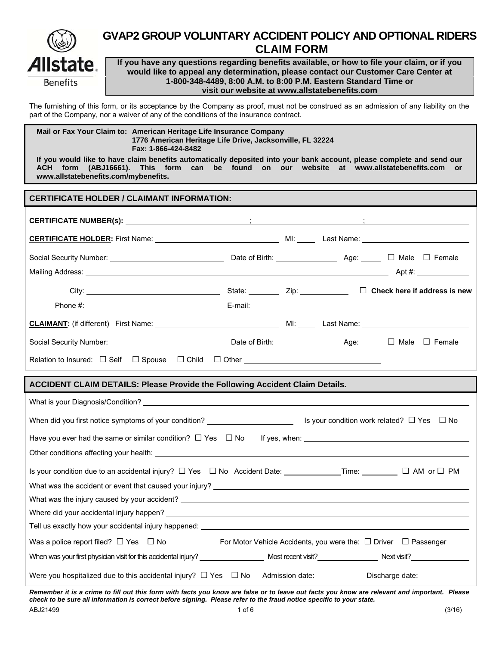

# **GVAP2 GROUP VOLUNTARY ACCIDENT POLICY AND OPTIONAL RIDERS CLAIM FORM**

**If you have any questions regarding benefits available, or how to file your claim, or if you would like to appeal any determination, please contact our Customer Care Center at 1-800-348-4489, 8:00 A.M. to 8:00 P.M. Eastern Standard Time or visit our website at www.allstatebenefits.com**

The furnishing of this form, or its acceptance by the Company as proof, must not be construed as an admission of any liability on the part of the Company, nor a waiver of any of the conditions of the insurance contract.

**Mail or Fax Your Claim to: American Heritage Life Insurance Company 1776 American Heritage Life Drive, Jacksonville, FL 32224 Fax: 1-866-424-8482** 

**If you would like to have claim benefits automatically deposited into your bank account, please complete and send our ACH form (ABJ16661). This form can be found on our website at www.allstatebenefits.com or www.allstatebenefits.com/mybenefits.** 

| <b>CERTIFICATE HOLDER / CLAIMANT INFORMATION:</b>                                                                                                                                                                             |  |  |  |
|-------------------------------------------------------------------------------------------------------------------------------------------------------------------------------------------------------------------------------|--|--|--|
|                                                                                                                                                                                                                               |  |  |  |
|                                                                                                                                                                                                                               |  |  |  |
|                                                                                                                                                                                                                               |  |  |  |
|                                                                                                                                                                                                                               |  |  |  |
|                                                                                                                                                                                                                               |  |  |  |
| Phone #: example and a series of the series of the E-mail: example and the series of the series of the series of the series of the series of the series of the series of the series of the series of the series of the series |  |  |  |
|                                                                                                                                                                                                                               |  |  |  |
|                                                                                                                                                                                                                               |  |  |  |
|                                                                                                                                                                                                                               |  |  |  |

#### **ACCIDENT CLAIM DETAILS: Please Provide the Following Accident Claim Details.**

| What is your Diagnosis/Condition? What is a series of the control of the control of the control of the control of the control of the control of the control of the control of the control of the control of the control of the |                                                                           |
|--------------------------------------------------------------------------------------------------------------------------------------------------------------------------------------------------------------------------------|---------------------------------------------------------------------------|
| When did you first notice symptoms of your condition? $\Box$ Synce Summann Synce on this over condition work related? $\Box$ Yes $\Box$ No                                                                                     |                                                                           |
| Have you ever had the same or similar condition? $\Box$ Yes $\Box$ No If yes, when: $\Box$ Mo If yes and $\Box$ Mo If yes, when:                                                                                               |                                                                           |
|                                                                                                                                                                                                                                |                                                                           |
| What was the accident or event that caused your injury?                                                                                                                                                                        |                                                                           |
|                                                                                                                                                                                                                                |                                                                           |
|                                                                                                                                                                                                                                |                                                                           |
| Tell us exactly how your accidental injury happened: The state of the state of the state of the state of the s                                                                                                                 |                                                                           |
| Was a police report filed? $\Box$ Yes $\Box$ No                                                                                                                                                                                | For Motor Vehicle Accidents, you were the: $\Box$ Driver $\Box$ Passenger |
|                                                                                                                                                                                                                                |                                                                           |
| Were you hospitalized due to this accidental injury? $\Box$ Yes $\Box$ No Admission date: Discharge date:                                                                                                                      |                                                                           |

*Remember it is a crime to fill out this form with facts you know are false or to leave out facts you know are relevant and important. Please check to be sure all information is correct before signing. Please refer to the fraud notice specific to your state.*  ABJ21499 1 of 6 (3/16)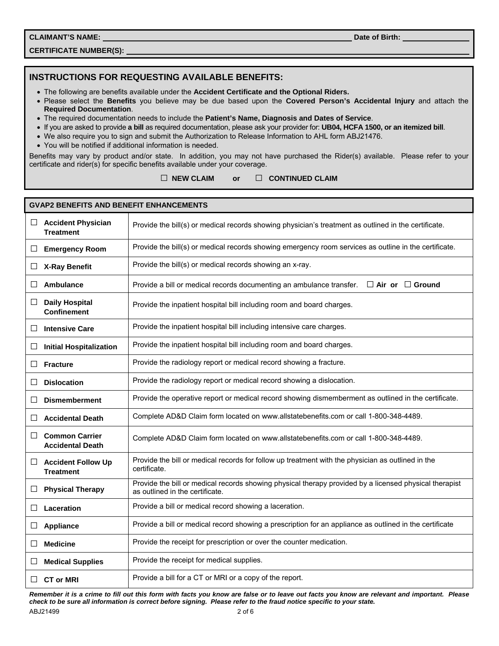**CLAIMANT'S NAME: Date of Birth: Date of Birth: Date of Birth: Date of Birth: Date of Birth: Date of Birth: Date of Birth: Date of Birth: Date of Birth: Date of Birth: Date of Birth: Date of Birth:** 

**CERTIFICATE NUMBER(S):** 

## **INSTRUCTIONS FOR REQUESTING AVAILABLE BENEFITS:**

- The following are benefits available under the **Accident Certificate and the Optional Riders.**
- Please select the **Benefits** you believe may be due based upon the **Covered Person's Accidental Injury** and attach the **Required Documentation**.
- The required documentation needs to include the **Patient's Name, Diagnosis and Dates of Service**.
- If you are asked to provide **a bill** as required documentation, please ask your provider for: **UB04, HCFA 1500, or an itemized bill**.
- We also require you to sign and submit the Authorization to Release Information to AHL form ABJ21476.
- You will be notified if additional information is needed.

Benefits may vary by product and/or state. In addition, you may not have purchased the Rider(s) available. Please refer to your certificate and rider(s) for specific benefits available under your coverage.

□ **NEW CLAIM or** □ **CONTINUED CLAIM**

|              | <b>GVAP2 BENEFITS AND BENEFIT ENHANCEMENTS</b>   |                                                                                                                                           |
|--------------|--------------------------------------------------|-------------------------------------------------------------------------------------------------------------------------------------------|
| ப            | <b>Accident Physician</b><br><b>Treatment</b>    | Provide the bill(s) or medical records showing physician's treatment as outlined in the certificate.                                      |
| ப            | <b>Emergency Room</b>                            | Provide the bill(s) or medical records showing emergency room services as outline in the certificate.                                     |
| ப            | <b>X-Ray Benefit</b>                             | Provide the bill(s) or medical records showing an x-ray.                                                                                  |
| $\Box$       | Ambulance                                        | Provide a bill or medical records documenting an ambulance transfer.<br>$\Box$ Air or $\Box$ Ground                                       |
| Ш            | <b>Daily Hospital</b><br><b>Confinement</b>      | Provide the inpatient hospital bill including room and board charges.                                                                     |
| □            | <b>Intensive Care</b>                            | Provide the inpatient hospital bill including intensive care charges.                                                                     |
| ⊔            | <b>Initial Hospitalization</b>                   | Provide the inpatient hospital bill including room and board charges.                                                                     |
| ப            | <b>Fracture</b>                                  | Provide the radiology report or medical record showing a fracture.                                                                        |
| $\Box$       | <b>Dislocation</b>                               | Provide the radiology report or medical record showing a dislocation.                                                                     |
| $\mathsf{L}$ | <b>Dismemberment</b>                             | Provide the operative report or medical record showing dismemberment as outlined in the certificate.                                      |
| $\perp$      | <b>Accidental Death</b>                          | Complete AD&D Claim form located on www.allstatebenefits.com or call 1-800-348-4489.                                                      |
| ப            | <b>Common Carrier</b><br><b>Accidental Death</b> | Complete AD&D Claim form located on www.allstatebenefits.com or call 1-800-348-4489.                                                      |
| ப            | <b>Accident Follow Up</b><br><b>Treatment</b>    | Provide the bill or medical records for follow up treatment with the physician as outlined in the<br>certificate.                         |
| ப            | <b>Physical Therapy</b>                          | Provide the bill or medical records showing physical therapy provided by a licensed physical therapist<br>as outlined in the certificate. |
| $\perp$      | Laceration                                       | Provide a bill or medical record showing a laceration.                                                                                    |
| ⊔            | Appliance                                        | Provide a bill or medical record showing a prescription for an appliance as outlined in the certificate                                   |
| $\mathsf{L}$ | <b>Medicine</b>                                  | Provide the receipt for prescription or over the counter medication.                                                                      |
| Ш            | <b>Medical Supplies</b>                          | Provide the receipt for medical supplies.                                                                                                 |
| $\perp$      | <b>CT or MRI</b>                                 | Provide a bill for a CT or MRI or a copy of the report.                                                                                   |

*Remember it is a crime to fill out this form with facts you know are false or to leave out facts you know are relevant and important. Please check to be sure all information is correct before signing. Please refer to the fraud notice specific to your state.*  ABJ21499 2 of 6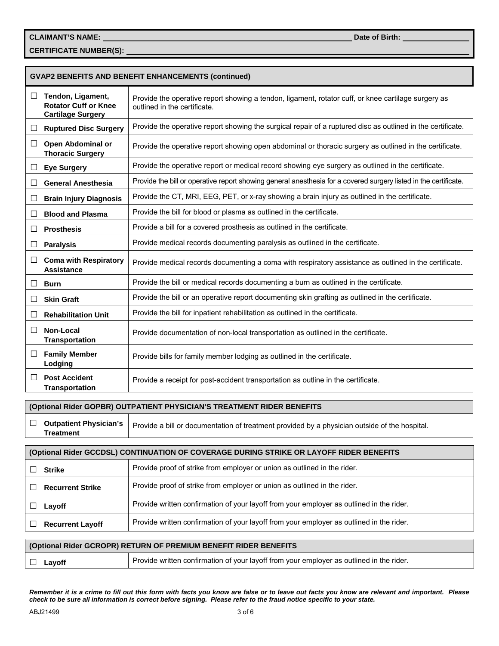**CERTIFICATE NUMBER(S):** 

|              |                                                                              | <b>GVAP2 BENEFITS AND BENEFIT ENHANCEMENTS (continued)</b>                                                                          |
|--------------|------------------------------------------------------------------------------|-------------------------------------------------------------------------------------------------------------------------------------|
| ⊔            | Tendon, Ligament,<br><b>Rotator Cuff or Knee</b><br><b>Cartilage Surgery</b> | Provide the operative report showing a tendon, ligament, rotator cuff, or knee cartilage surgery as<br>outlined in the certificate. |
| ⊔            | <b>Ruptured Disc Surgery</b>                                                 | Provide the operative report showing the surgical repair of a ruptured disc as outlined in the certificate.                         |
| $\perp$      | Open Abdominal or<br><b>Thoracic Surgery</b>                                 | Provide the operative report showing open abdominal or thoracic surgery as outlined in the certificate.                             |
| □            | <b>Eye Surgery</b>                                                           | Provide the operative report or medical record showing eye surgery as outlined in the certificate.                                  |
| $\mathsf{L}$ | <b>General Anesthesia</b>                                                    | Provide the bill or operative report showing general anesthesia for a covered surgery listed in the certificate.                    |
| $\Box$       | <b>Brain Injury Diagnosis</b>                                                | Provide the CT, MRI, EEG, PET, or x-ray showing a brain injury as outlined in the certificate.                                      |
| $\mathbf{L}$ | <b>Blood and Plasma</b>                                                      | Provide the bill for blood or plasma as outlined in the certificate.                                                                |
| □            | <b>Prosthesis</b>                                                            | Provide a bill for a covered prosthesis as outlined in the certificate.                                                             |
| ⊔            | <b>Paralysis</b>                                                             | Provide medical records documenting paralysis as outlined in the certificate.                                                       |
| □            | <b>Coma with Respiratory</b><br>Assistance                                   | Provide medical records documenting a coma with respiratory assistance as outlined in the certificate.                              |
| ΙI           | <b>Burn</b>                                                                  | Provide the bill or medical records documenting a burn as outlined in the certificate.                                              |
| $\perp$      | <b>Skin Graft</b>                                                            | Provide the bill or an operative report documenting skin grafting as outlined in the certificate.                                   |
| ΙI           | <b>Rehabilitation Unit</b>                                                   | Provide the bill for inpatient rehabilitation as outlined in the certificate.                                                       |
| $\perp$      | Non-Local<br><b>Transportation</b>                                           | Provide documentation of non-local transportation as outlined in the certificate.                                                   |
| $\Box$       | <b>Family Member</b><br>Lodging                                              | Provide bills for family member lodging as outlined in the certificate.                                                             |
| $\perp$      | <b>Post Accident</b><br><b>Transportation</b>                                | Provide a receipt for post-accident transportation as outline in the certificate.                                                   |

#### **(Optional Rider GOPBR) OUTPATIENT PHYSICIAN'S TREATMENT RIDER BENEFITS**

□ **Outpatient Physician's Treatment** Provide a bill or documentation of treatment provided by a physician outside of the hospital.

| (Optional Rider GCCDSL) CONTINUATION OF COVERAGE DURING STRIKE OR LAYOFF RIDER BENEFITS |                                                                                          |  |
|-----------------------------------------------------------------------------------------|------------------------------------------------------------------------------------------|--|
| <b>Strike</b>                                                                           | Provide proof of strike from employer or union as outlined in the rider.                 |  |
| <b>Recurrent Strike</b>                                                                 | Provide proof of strike from employer or union as outlined in the rider.                 |  |
| Layoff                                                                                  | Provide written confirmation of your layoff from your employer as outlined in the rider. |  |
| <b>Recurrent Layoff</b>                                                                 | Provide written confirmation of your layoff from your employer as outlined in the rider. |  |

|          | (Optional Rider GCROPR) RETURN OF PREMIUM BENEFIT RIDER BENEFITS                         |
|----------|------------------------------------------------------------------------------------------|
| □ Layoff | Provide written confirmation of your layoff from your employer as outlined in the rider. |

*Remember it is a crime to fill out this form with facts you know are false or to leave out facts you know are relevant and important. Please check to be sure all information is correct before signing. Please refer to the fraud notice specific to your state.*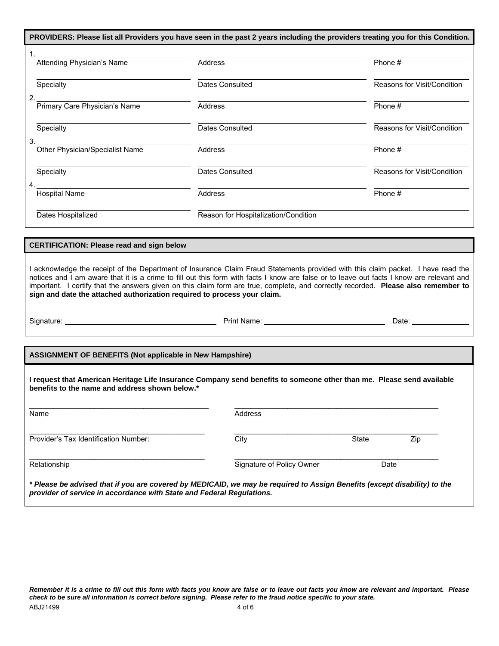|                                 |                                      | PROVIDERS: Please list all Providers you have seen in the past 2 years including the providers treating you for this Condition. |
|---------------------------------|--------------------------------------|---------------------------------------------------------------------------------------------------------------------------------|
| Attending Physician's Name      | Address                              | Phone #                                                                                                                         |
| Specialty<br>$\mathcal{P}$      | Dates Consulted                      | Reasons for Visit/Condition                                                                                                     |
| Primary Care Physician's Name   | Address                              | Phone #                                                                                                                         |
| Specialty<br>3.                 | <b>Dates Consulted</b>               | Reasons for Visit/Condition                                                                                                     |
| Other Physician/Specialist Name | <b>Address</b>                       | Phone #                                                                                                                         |
| Specialty<br>Δ                  | <b>Dates Consulted</b>               | Reasons for Visit/Condition                                                                                                     |
| <b>Hospital Name</b>            | <b>Address</b>                       | Phone #                                                                                                                         |
| Dates Hospitalized              | Reason for Hospitalization/Condition |                                                                                                                                 |

#### **CERTIFICATION: Please read and sign below**

I acknowledge the receipt of the Department of Insurance Claim Fraud Statements provided with this claim packet. I have read the notices and I am aware that it is a crime to fill out this form with facts I know are false or to leave out facts I know are relevant and important. I certify that the answers given on this claim form are true, complete, and correctly recorded. **Please also remember to sign and date the attached authorization required to process your claim.** 

Signature: Print Name: Date:

**ASSIGNMENT OF BENEFITS (Not applicable in New Hampshire)** 

**I request that American Heritage Life Insurance Company send benefits to someone other than me. Please send available benefits to the name and address shown below.\*** 

| Name                                                                                                                                                                                               | Address                   |              |     |  |
|----------------------------------------------------------------------------------------------------------------------------------------------------------------------------------------------------|---------------------------|--------------|-----|--|
| Provider's Tax Identification Number:                                                                                                                                                              | City                      | <b>State</b> | Zip |  |
| Relationship                                                                                                                                                                                       | Signature of Policy Owner | Date         |     |  |
| * Please be advised that if you are covered by MEDICAID, we may be required to Assign Benefits (except disability) to the<br>provider of service in accordance with State and Federal Regulations. |                           |              |     |  |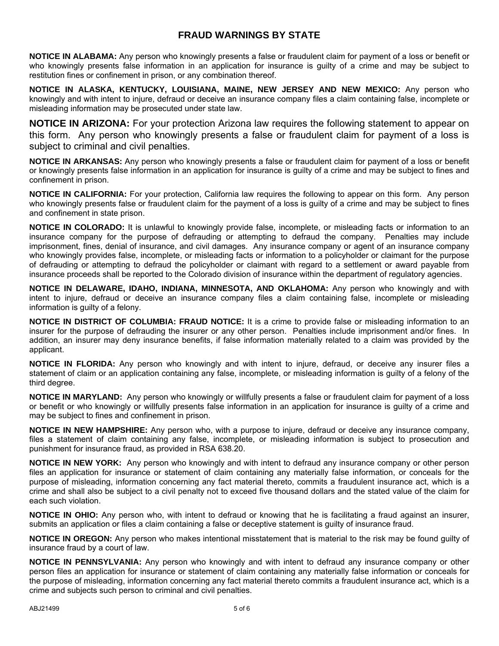## **FRAUD WARNINGS BY STATE**

**NOTICE IN ALABAMA:** Any person who knowingly presents a false or fraudulent claim for payment of a loss or benefit or who knowingly presents false information in an application for insurance is guilty of a crime and may be subject to restitution fines or confinement in prison, or any combination thereof.

**NOTICE IN ALASKA, KENTUCKY, LOUISIANA, MAINE, NEW JERSEY AND NEW MEXICO:** Any person who knowingly and with intent to injure, defraud or deceive an insurance company files a claim containing false, incomplete or misleading information may be prosecuted under state law.

**NOTICE IN ARIZONA:** For your protection Arizona law requires the following statement to appear on this form. Any person who knowingly presents a false or fraudulent claim for payment of a loss is subject to criminal and civil penalties.

**NOTICE IN ARKANSAS:** Any person who knowingly presents a false or fraudulent claim for payment of a loss or benefit or knowingly presents false information in an application for insurance is guilty of a crime and may be subject to fines and confinement in prison.

**NOTICE IN CALIFORNIA:** For your protection, California law requires the following to appear on this form. Any person who knowingly presents false or fraudulent claim for the payment of a loss is guilty of a crime and may be subject to fines and confinement in state prison.

**NOTICE IN COLORADO:** It is unlawful to knowingly provide false, incomplete, or misleading facts or information to an insurance company for the purpose of defrauding or attempting to defraud the company. Penalties may include imprisonment, fines, denial of insurance, and civil damages. Any insurance company or agent of an insurance company who knowingly provides false, incomplete, or misleading facts or information to a policyholder or claimant for the purpose of defrauding or attempting to defraud the policyholder or claimant with regard to a settlement or award payable from insurance proceeds shall be reported to the Colorado division of insurance within the department of regulatory agencies.

**NOTICE IN DELAWARE, IDAHO, INDIANA, MINNESOTA, AND OKLAHOMA:** Any person who knowingly and with intent to injure, defraud or deceive an insurance company files a claim containing false, incomplete or misleading information is guilty of a felony.

**NOTICE IN DISTRICT OF COLUMBIA: FRAUD NOTICE:** It is a crime to provide false or misleading information to an insurer for the purpose of defrauding the insurer or any other person. Penalties include imprisonment and/or fines. In addition, an insurer may deny insurance benefits, if false information materially related to a claim was provided by the applicant.

**NOTICE IN FLORIDA:** Any person who knowingly and with intent to injure, defraud, or deceive any insurer files a statement of claim or an application containing any false, incomplete, or misleading information is guilty of a felony of the third degree.

**NOTICE IN MARYLAND:** Any person who knowingly or willfully presents a false or fraudulent claim for payment of a loss or benefit or who knowingly or willfully presents false information in an application for insurance is guilty of a crime and may be subject to fines and confinement in prison.

**NOTICE IN NEW HAMPSHIRE:** Any person who, with a purpose to injure, defraud or deceive any insurance company, files a statement of claim containing any false, incomplete, or misleading information is subject to prosecution and punishment for insurance fraud, as provided in RSA 638.20.

**NOTICE IN NEW YORK:** Any person who knowingly and with intent to defraud any insurance company or other person files an application for insurance or statement of claim containing any materially false information, or conceals for the purpose of misleading, information concerning any fact material thereto, commits a fraudulent insurance act, which is a crime and shall also be subject to a civil penalty not to exceed five thousand dollars and the stated value of the claim for each such violation.

**NOTICE IN OHIO:** Any person who, with intent to defraud or knowing that he is facilitating a fraud against an insurer, submits an application or files a claim containing a false or deceptive statement is guilty of insurance fraud.

**NOTICE IN OREGON:** Any person who makes intentional misstatement that is material to the risk may be found guilty of insurance fraud by a court of law.

**NOTICE IN PENNSYLVANIA:** Any person who knowingly and with intent to defraud any insurance company or other person files an application for insurance or statement of claim containing any materially false information or conceals for the purpose of misleading, information concerning any fact material thereto commits a fraudulent insurance act, which is a crime and subjects such person to criminal and civil penalties.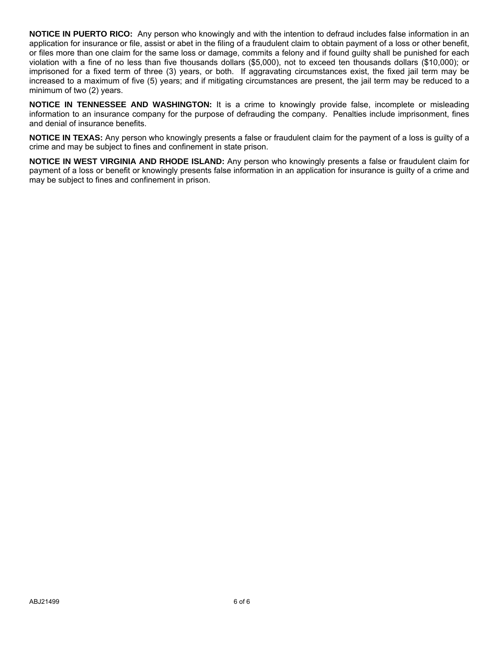**NOTICE IN PUERTO RICO:** Any person who knowingly and with the intention to defraud includes false information in an application for insurance or file, assist or abet in the filing of a fraudulent claim to obtain payment of a loss or other benefit, or files more than one claim for the same loss or damage, commits a felony and if found guilty shall be punished for each violation with a fine of no less than five thousands dollars (\$5,000), not to exceed ten thousands dollars (\$10,000); or imprisoned for a fixed term of three (3) years, or both. If aggravating circumstances exist, the fixed jail term may be increased to a maximum of five (5) years; and if mitigating circumstances are present, the jail term may be reduced to a minimum of two (2) years.

**NOTICE IN TENNESSEE AND WASHINGTON:** It is a crime to knowingly provide false, incomplete or misleading information to an insurance company for the purpose of defrauding the company. Penalties include imprisonment, fines and denial of insurance benefits.

**NOTICE IN TEXAS:** Any person who knowingly presents a false or fraudulent claim for the payment of a loss is guilty of a crime and may be subject to fines and confinement in state prison.

**NOTICE IN WEST VIRGINIA AND RHODE ISLAND:** Any person who knowingly presents a false or fraudulent claim for payment of a loss or benefit or knowingly presents false information in an application for insurance is guilty of a crime and may be subject to fines and confinement in prison.